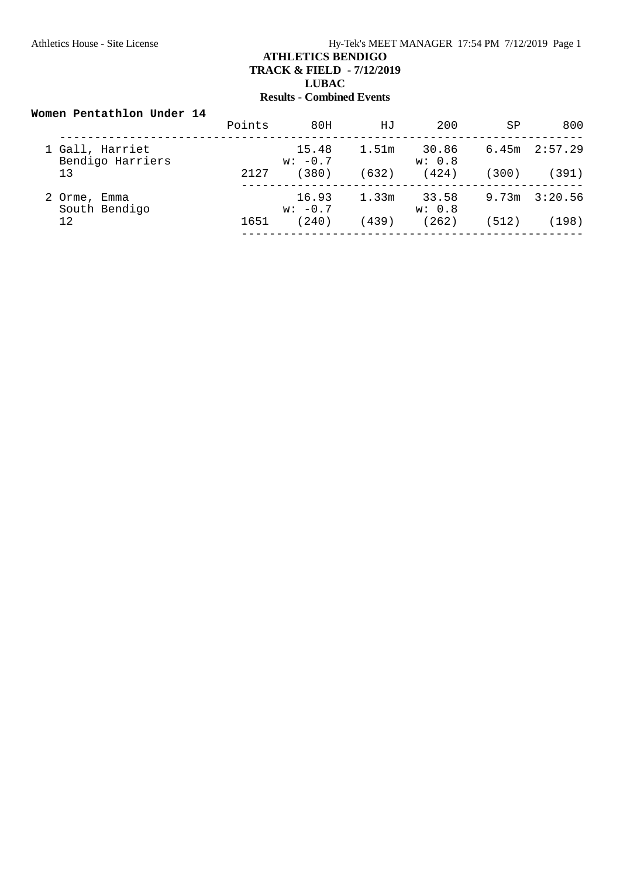### **Women Pentathlon Under 14**

|                                     | Points | 80H                | HJ    | 200             | SP    | 800               |
|-------------------------------------|--------|--------------------|-------|-----------------|-------|-------------------|
| 1 Gall, Harriet<br>Bendigo Harriers |        | 15.48<br>$w: -0.7$ | 1.51m | 30.86<br>w: 0.8 |       | $6.45m$ $2:57.29$ |
| 13                                  | 2127   | 380)               | (632) | (424)           | (300) | (391)             |
| 2 Orme, Emma<br>South Bendigo       |        | 16.93<br>$w: -0.7$ | 1.33m | 33.58<br>w: 0.8 | 9.73m | 3:20.56           |
| 12                                  | 1651   | 240)               | (439) | (262)           | (512) | (198)             |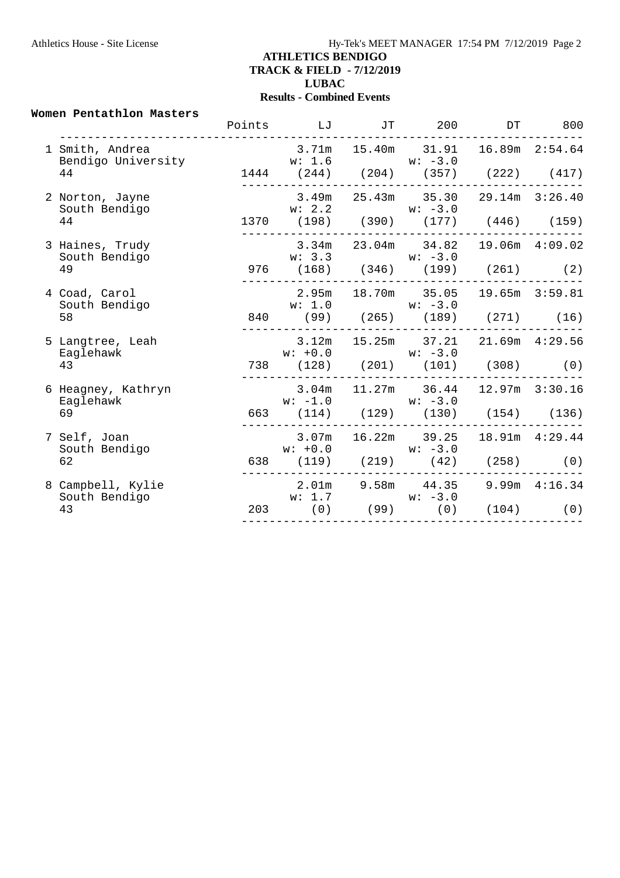#### **Women Pentathlon Masters**

|                                       | Points LJ                                                         | JT 200 |                                   | DT 800 |
|---------------------------------------|-------------------------------------------------------------------|--------|-----------------------------------|--------|
| 1 Smith, Andrea<br>Bendigo University | $3.71m$ $15.40m$ $31.91$ $16.89m$ $2:54.64$<br>$w: 1.6$ $w: -3.0$ |        |                                   |        |
| 44                                    | 1444 (244) (204) (357) (222) (417)                                |        |                                   |        |
| 2 Norton, Jayne<br>South Bendigo      | $3.49m$ $25.43m$ $35.30$ $29.14m$ $3:26.40$<br>$w: 2.2$ $w: -3.0$ |        |                                   |        |
| 44                                    | 1370 (198) (390) (177) (446) (159)                                |        |                                   |        |
| 3 Haines, Trudy<br>South Bendigo      | $w: 3.3$ $w: -3.0$                                                |        | 3.34m 23.04m 34.82 19.06m 4:09.02 |        |
| 49                                    | 976 (168) (346) (199) (261) (2)                                   |        |                                   |        |
| 4 Coad, Carol<br>South Bendigo        | 2.95m 18.70m 35.05 19.65m 3:59.81<br>$w: 1.0$ $w: -3.0$           |        |                                   |        |
| 58                                    | 840 (99) (265) (189) (271) (16)                                   |        |                                   |        |
| 5 Langtree, Leah<br>Eaglehawk         | $w: +0.0$ $w: -3.0$                                               |        | 3.12m 15.25m 37.21 21.69m 4:29.56 |        |
| 43                                    | 738 (128) (201) (101) (308) (0)<br>___________________            |        |                                   |        |
| 6 Heagney, Kathryn<br>Eaglehawk       | $3.04m$ 11.27m 36.44 12.97m 3:30.16<br>$w: -1.0$ $w: -3.0$        |        |                                   |        |
| 69                                    | 663 (114) (129) (130) (154) (136)                                 |        |                                   |        |
| 7 Self, Joan<br>South Bendigo         | 3.07m<br>$w: +0.0$ $w: -3.0$                                      |        | 16.22m 39.25 18.91m 4:29.44       |        |
| 62                                    | 638 (119) (219) (42) (258) (0)                                    |        |                                   |        |
| 8 Campbell, Kylie<br>South Bendigo    | 2.01m 9.58m 44.35 9.99m 4:16.34                                   |        |                                   |        |
| 43                                    | $w: 1.7$ $w: -3.0$<br>203 (0) (99) (0) (104) (0)                  |        |                                   |        |
|                                       |                                                                   |        |                                   |        |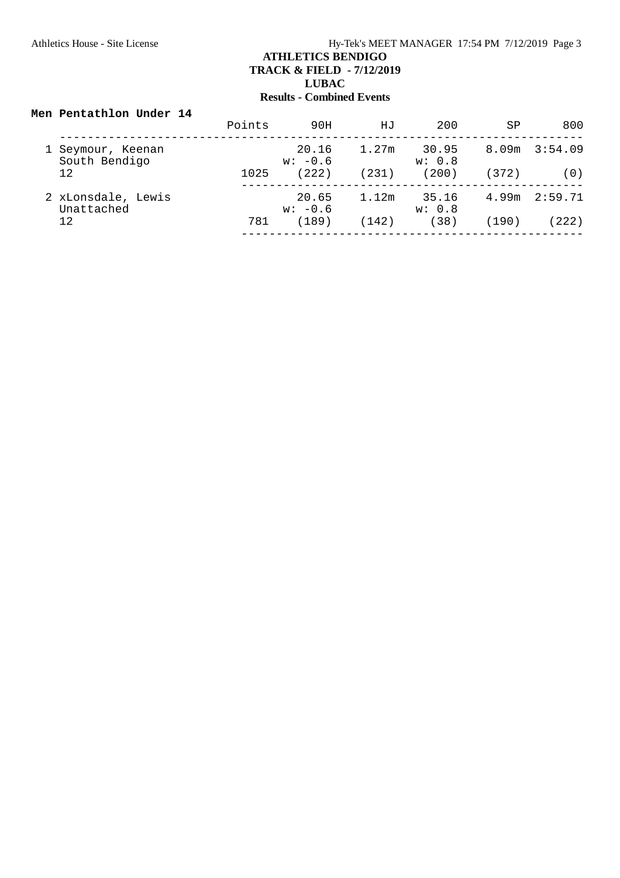### **Men Pentathlon Under 14**

|                                  | Points | 90H                | HJ    | 200             | SP    | 800     |
|----------------------------------|--------|--------------------|-------|-----------------|-------|---------|
| Seymour, Keenan<br>South Bendigo |        | 20.16<br>$w: -0.6$ | 1.27m | 30.95<br>w: 0.8 | 8.09m | 3:54.09 |
| 12                               | 1025   | (222)              | (231) | (200)           | (372) | (0)     |
| 2 xLonsdale, Lewis<br>Unattached |        | 20.65<br>$w: -0.6$ | 1.12m | 35.16<br>w: 0.8 | 4.99m | 2:59.71 |
| 12                               | 781    | (189)              | (142) | (38)            | (190) | 222)    |
|                                  |        |                    |       |                 |       |         |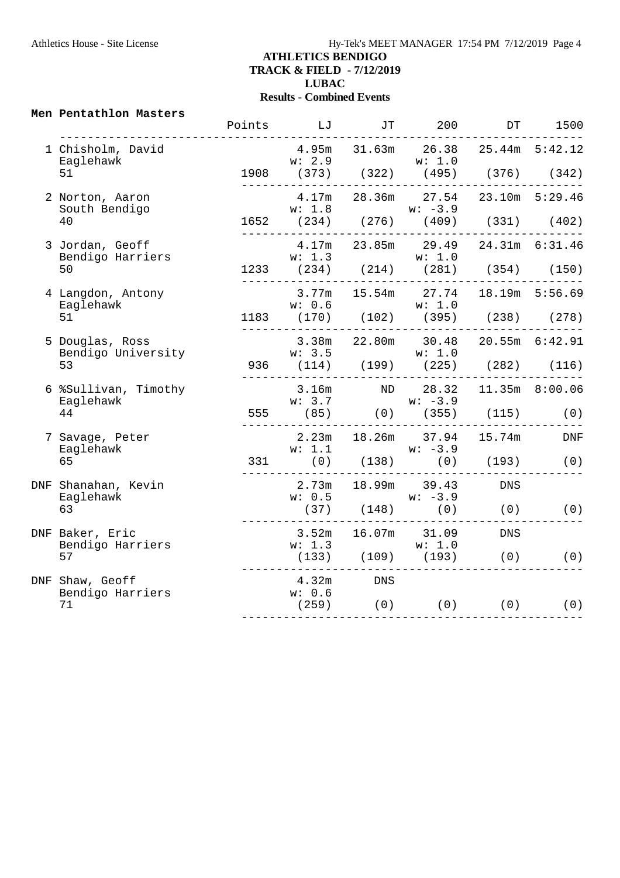#### **Men Pentathlon Masters**

|                                       | Points LJ                                                                 |           | JT 200    |                                       | DT 1500 |
|---------------------------------------|---------------------------------------------------------------------------|-----------|-----------|---------------------------------------|---------|
| 1 Chisholm, David<br>Eaglehawk<br>51  | 4.95m 31.63m 26.38 25.44m 5:42.12                                         |           |           |                                       |         |
| 2 Norton, Aaron<br>South Bendigo      | w: 1.8                                                                    |           | $w: -3.9$ | 4.17m  28.36m  27.54  23.10m  5:29.46 |         |
| 40                                    | 1652 (234) (276) (409) (331) (402)                                        |           |           |                                       |         |
| 3 Jordan, Geoff<br>Bendigo Harriers   | 4.17m 23.85m 29.49 24.31m 6:31.46<br>w: 1.3 w: 1.0                        |           |           |                                       |         |
| 50                                    | 1233 (234) (214) (281) (354) (150)                                        |           |           |                                       |         |
| 4 Langdon, Antony<br>Eaglehawk        | w: 0.6                                                                    |           | w: 1.0    | 3.77m 15.54m 27.74 18.19m 5:56.69     |         |
| 51                                    | 1183 (170) (102) (395) (238) (278)                                        |           |           |                                       |         |
| 5 Douglas, Ross<br>Bendigo University | $w: 3.5$<br>936 (114) (199) (225) (282) (116)                             |           |           | 3.38m  22.80m  30.48  20.55m  6:42.91 |         |
| 53                                    |                                                                           |           |           |                                       |         |
| 6 %Sullivan, Timothy<br>Eaglehawk     | 3.16m ND 28.32 11.35m 8:00.06<br>$w: 3.7$<br>555 (85) (0) (355) (115) (0) |           |           |                                       |         |
| 44                                    |                                                                           |           |           |                                       |         |
| 7 Savage, Peter<br>Eaglehawk          | 2.23m 18.26m 37.94 15.74m DNF                                             |           |           |                                       |         |
| 65                                    | $w: 1.1$<br>331 (0) (138) $w: -3.9$<br>(0) (193) (0)                      |           |           |                                       |         |
| DNF Shanahan, Kevin<br>Eaglehawk      | 2.73m 18.99m 39.43 DNS<br>$w: 0.5$ $w: -3.9$                              |           |           |                                       |         |
| 63                                    | $(37)$ $(148)$ $(0)$ $(0)$ $(0)$ $(0)$                                    |           |           |                                       |         |
| DNF Baker, Eric<br>Bendigo Harriers   | 3.52m 16.07m 31.09 DNS                                                    |           |           |                                       |         |
| 57                                    | $(133)$ $(109)$ $(193)$ $(0)$ $(0)$<br>______________________             |           |           |                                       |         |
| DNF Shaw, Geoff<br>Bendigo Harriers   | w: 0.6                                                                    | 4.32m DNS |           |                                       |         |
| 71                                    | $(259)$ (0) (0) (0) (0)                                                   |           |           |                                       |         |
|                                       |                                                                           |           |           |                                       |         |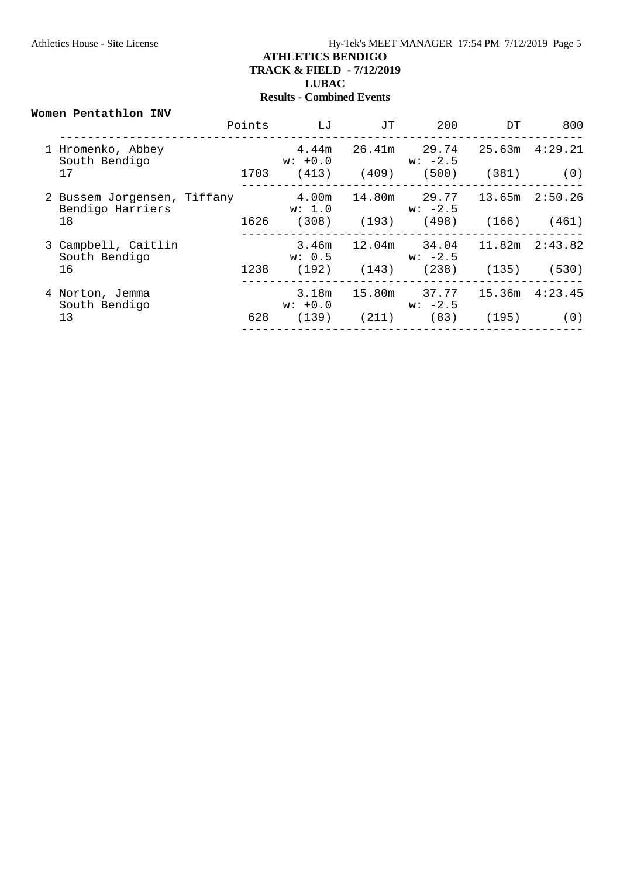#### **Women Pentathlon INV**

|                                                 | Points | LJ                 | JТ              | 200                                   | DT                                      | 800                |
|-------------------------------------------------|--------|--------------------|-----------------|---------------------------------------|-----------------------------------------|--------------------|
| 1 Hromenko, Abbey<br>South Bendigo              |        | $w: +0.0$          |                 | $4.44m$ $26.41m$ $29.74$<br>$w: -2.5$ |                                         | $25.63m$ $4:29.21$ |
| 17                                              | 1703   |                    | $(413)$ $(409)$ | (500)                                 | (381)                                   | (0)                |
| 2 Bussem Jorgensen, Tiffany<br>Bendigo Harriers |        | 4.00m<br>w: 1.0    |                 | $w: -2.5$                             |                                         |                    |
| 18                                              | 1626   |                    |                 |                                       | $(308)$ $(193)$ $(498)$ $(166)$ $(461)$ |                    |
| 3 Campbell, Caitlin<br>South Bendigo            |        | w: 0.5             |                 | $3.46m$ $12.04m$ $34.04$<br>$w: -2.5$ |                                         | 11.82m  2:43.82    |
| 16                                              | 1238   |                    | $(192)$ $(143)$ | (238)                                 | (135)                                   | (530)              |
| 4 Norton, Jemma<br>South Bendigo                |        | 3.18m<br>$w: +0.0$ |                 | 15.80m 37.77<br>$w: -2.5$             |                                         | 15.36m  4:23.45    |
| 13                                              | 628    | (139)              | (211)           | (83)                                  | (195)                                   | (0)                |
|                                                 |        |                    |                 |                                       |                                         |                    |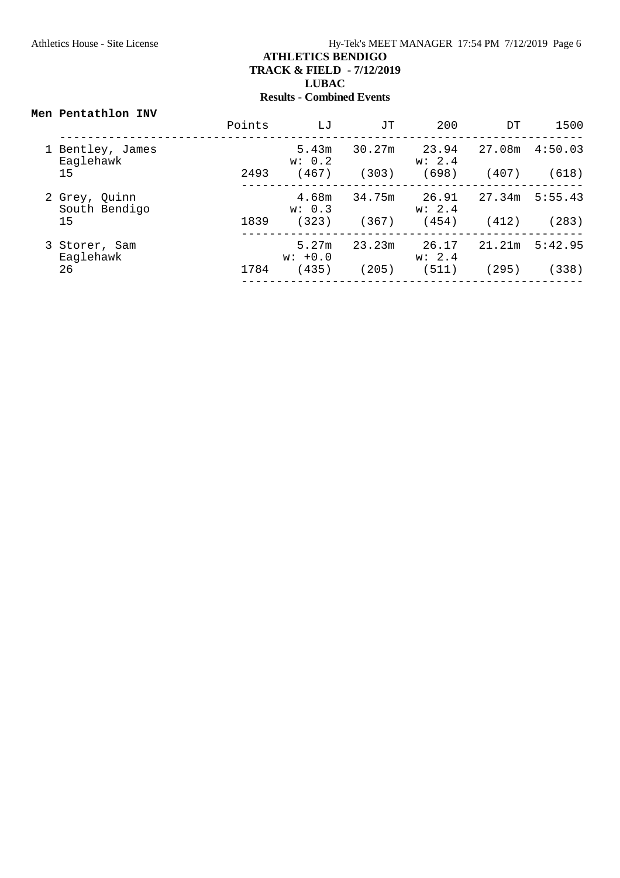#### **Men Pentathlon INV**

|                                | Points | LJ                 | JТ     | 200             | DT     | 1500    |
|--------------------------------|--------|--------------------|--------|-----------------|--------|---------|
| 1 Bentley, James<br>Eaglehawk  |        | 5.43m<br>w: 0.2    | 30.27m | 23.94<br>w: 2.4 | 27.08m | 4:50.03 |
| 15                             | 2493   | (467)              | (303)  | (698)           | (407)  | (618)   |
| 2 Grey, Quinn<br>South Bendigo |        | 4.68m<br>w: 0.3    | 34.75m | 26.91<br>w: 2.4 | 27.34m | 5:55.43 |
| 15                             | 1839   | (323)              | (367)  | (454)           | (412)  | (283)   |
| 3 Storer, Sam<br>Eaglehawk     |        | 5.27m<br>$w: +0.0$ | 23.23m | 26.17<br>w: 2.4 | 21.21m | 5:42.95 |
| 26                             | 1784   | (435)              | (205)  | (511)           | (295)  | (338)   |
|                                |        |                    |        |                 |        |         |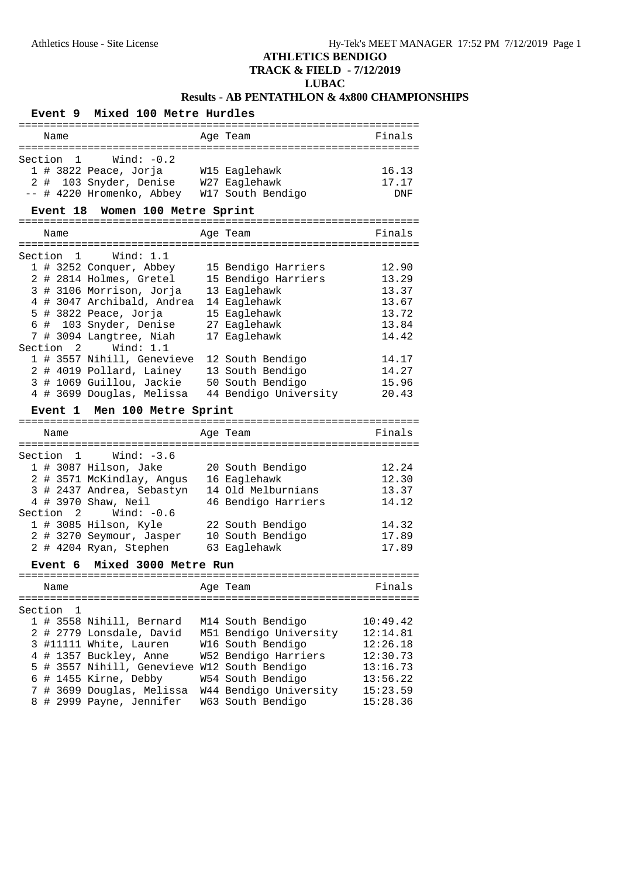# **ATHLETICS BENDIGO**

### **TRACK & FIELD - 7/12/2019**

### **LUBAC**

### **Results - AB PENTATHLON & 4x800 CHAMPIONSHIPS**

#### **Event 9 Mixed 100 Metre Hurdles** ================================================================ Name **Age Team Age Team** Finals ================================================================ Section 1 Wind: -0.2 1 # 3822 Peace, Jorja W15 Eaglehawk 16.13 2 # 103 Snyder, Denise W27 Eaglehawk 17.17 -- # 4220 Hromenko, Abbey W17 South Bendigo DNF **Event 18 Women 100 Metre Sprint** ================================================================ Name **Age Team** Age Team Finals ================================================================ Section 1 Wind: 1.1 1 # 3252 Conquer, Abbey 15 Bendigo Harriers 12.90 2 # 2814 Holmes, Gretel 15 Bendigo Harriers 13.29 3 # 3106 Morrison, Jorja 13 Eaglehawk 13.37 4 # 3047 Archibald, Andrea 14 Eaglehawk 13.67 5 # 3822 Peace, Jorja 15 Eaglehawk 13.72 6 # 103 Snyder, Denise 27 Eaglehawk 13.84 7 # 3094 Langtree, Niah 17 Eaglehawk 14.42 Section 2 Wind: 1.1 1 # 3557 Nihill, Genevieve 12 South Bendigo 14.17 2 # 4019 Pollard, Lainey 13 South Bendigo 14.27 3 # 1069 Guillou, Jackie 50 South Bendigo 15.96 4 # 3699 Douglas, Melissa 44 Bendigo University 20.43 **Event 1 Men 100 Metre Sprint** ================================================================ Name **Age Team** Age Team Finals ================================================================ Section 1 Wind: -3.6 1 # 3087 Hilson, Jake 20 South Bendigo 12.24 2 # 3571 McKindlay, Angus 16 Eaglehawk 12.30 3 # 2437 Andrea, Sebastyn 14 Old Melburnians 13.37 4 # 3970 Shaw, Neil 46 Bendigo Harriers 14.12 Section 2 Wind: -0.6 1 # 3085 Hilson, Kyle 22 South Bendigo 14.32 2 # 3270 Seymour, Jasper 10 South Bendigo 17.89 2 # 4204 Ryan, Stephen 63 Eaglehawk 17.89 **Event 6 Mixed 3000 Metre Run** ================================================================ Name Research Magnetic Age Team and Trinals ================================================================ Section 1<br>1 # 3558 Nihill, Bernard 1 M14 South Bendigo 1 # 3558 Nihill, Bernard M14 South Bendigo 10:49.42 2 # 2779 Lonsdale, David M51 Bendigo University 12:14.81 3 #11111 White, Lauren W16 South Bendigo 12:26.18 4 # 1357 Buckley, Anne W52 Bendigo Harriers 12:30.73 5 # 3557 Nihill, Genevieve W12 South Bendigo 13:16.73 6 # 1455 Kirne, Debby W54 South Bendigo 13:56.22 7 # 3699 Douglas, Melissa W44 Bendigo University 15:23.59 8 # 2999 Payne, Jennifer W63 South Bendigo 15:28.36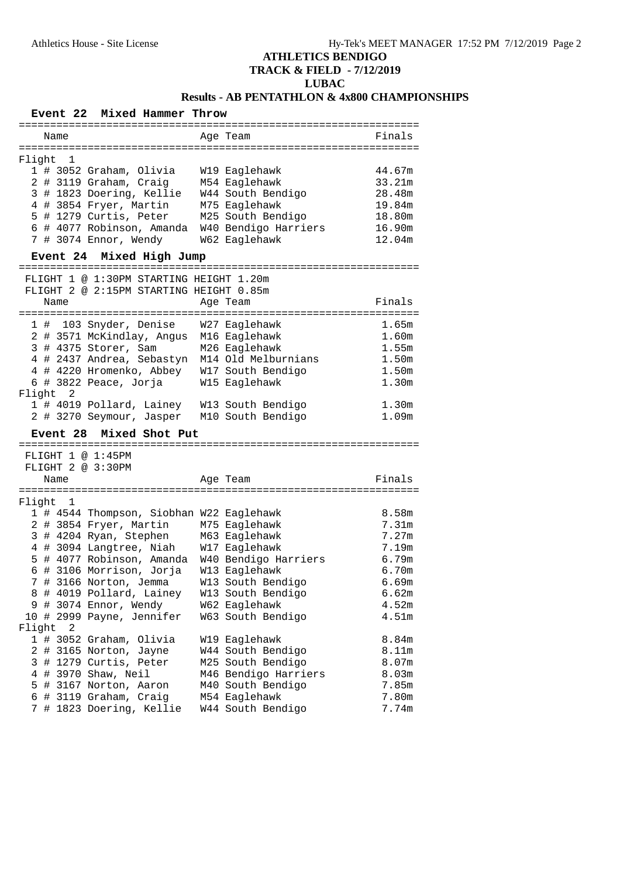# **ATHLETICS BENDIGO**

**TRACK & FIELD - 7/12/2019**

# **LUBAC**

## **Results - AB PENTATHLON & 4x800 CHAMPIONSHIPS**

| Mixed Hammer Throw<br><b>Event 22</b>                                              |                      |         |
|------------------------------------------------------------------------------------|----------------------|---------|
| Name                                                                               | Age Team             | Finals  |
|                                                                                    |                      |         |
| Flight<br>1                                                                        |                      |         |
| 1 # 3052 Graham, Olivia                                                            | W19 Eaglehawk        | 44.67m  |
| 2 # 3119 Graham, Craig M54 Eaglehawk<br>3 # 1823 Doering, Kellie W44 South Bendigo |                      | 33.21m  |
|                                                                                    |                      | 28.48m  |
| 4 # 3854 Fryer, Martin                                                             | M75 Eaglehawk        | 19.84m  |
| 5 # 1279 Curtis, Peter                                                             | M25 South Bendigo    | 18.80m  |
| 6 # 4077 Robinson, Amanda W40 Bendigo Harriers                                     |                      | 16.90m  |
| 7 # 3074 Ennor, Wendy                                                              | W62 Eaglehawk        | 12.04m  |
| Mixed High Jump<br><b>Event 24</b>                                                 |                      |         |
| FLIGHT 1 @ 1:30PM STARTING HEIGHT 1.20m                                            |                      |         |
| FLIGHT 2 @ 2:15PM STARTING HEIGHT 0.85m                                            |                      |         |
| Name                                                                               | Age Team             | Finals  |
|                                                                                    |                      |         |
| 1 # 103 Snyder, Denise                                                             | W27 Eaglehawk        | 1.65m   |
| 2 # 3571 McKindlay, Angus                                                          | M16 Eaglehawk        | 1.60m   |
| 3 # 4375 Storer, Sam                                                               | M26 Eaglehawk        | 1.55m   |
| 4 # 2437 Andrea, Sebastyn M14 Old Melburnians                                      |                      | 1.50m   |
| 4 # 4220 Hromenko, Abbey W17 South Bendigo                                         |                      | 1.50m   |
| 6 # 3822 Peace, Jorja                                                              | W15 Eaglehawk        | 1.30m   |
| Flight 2                                                                           |                      |         |
| 1 # 4019 Pollard, Lainey W13 South Bendigo                                         |                      | 1.30m   |
| 2 # 3270 Seymour, Jasper M10 South Bendigo                                         |                      | 1.09m   |
| Mixed Shot Put<br><b>Event 28</b>                                                  |                      |         |
|                                                                                    |                      |         |
| FLIGHT 1 @ 1:45PM                                                                  |                      |         |
| FLIGHT 2 @ 3:30PM                                                                  |                      |         |
| Name                                                                               | Age Team             | Finals  |
|                                                                                    |                      |         |
| Flight 1                                                                           |                      |         |
| 1 # 4544 Thompson, Siobhan W22 Eaglehawk                                           |                      | 8.58m   |
| 2 # 3854 Fryer, Martin                                                             | M75 Eaglehawk        | 7.31m   |
| 3 # 4204 Ryan, Stephen                                                             | M63 Eaglehawk        | 7.27m   |
| 4 # 3094 Langtree, Niah                                                            | W17 Eaglehawk        | 7.19m   |
| 5 # 4077 Robinson, Amanda                                                          | W40 Bendigo Harriers | 6.79m   |
| 6 # 3106 Morrison, Jorja                                                           | W13 Eaglehawk        | 6.70m   |
| 7 # 3166 Norton, Jemma                                                             | W13 South Bendigo    | 6.69m   |
| 8 # 4019 Pollard, Lainey                                                           | W13 South Bendigo    | $6.62m$ |
| 9 # 3074 Ennor, Wendy                                                              | W62 Eaglehawk        | 4.52m   |
| 10 # 2999 Payne, Jennifer                                                          | W63 South Bendigo    | 4.51m   |
| Flight<br>2                                                                        |                      |         |
| 1 # 3052 Graham, Olivia                                                            | W19 Eaglehawk        | 8.84m   |
| # 3165 Norton, Jayne<br>2                                                          | W44 South Bendigo    | 8.11m   |
| # 1279 Curtis, Peter<br>3                                                          | M25 South Bendigo    | 8.07m   |
| # 3970 Shaw, Neil<br>4                                                             | M46 Bendigo Harriers | 8.03m   |
| # 3167 Norton, Aaron<br>5                                                          | M40 South Bendigo    | 7.85m   |
| 6<br># 3119 Graham, Craig                                                          | M54 Eaglehawk        | 7.80m   |
| # 1823 Doering, Kellie<br>7                                                        | W44 South Bendigo    | 7.74m   |